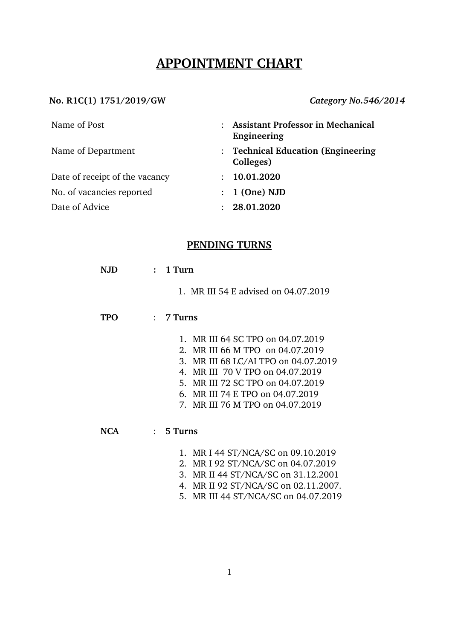# **APPOINTMENT CHART**

## **No. R1C(1) 1751/2019/GW** *Category No.546/2014*

| Name of Post                   | <b>Assistant Professor in Mechanical</b><br>$\ddot{\cdot}$<br>Engineering |
|--------------------------------|---------------------------------------------------------------------------|
| Name of Department             | : Technical Education (Engineering<br>Colleges)                           |
| Date of receipt of the vacancy | 10.01.2020<br>$\mathcal{L}$                                               |
| No. of vacancies reported      | $: 1$ (One) NJD                                                           |
| Date of Advice                 | 28.01.2020<br>$\bullet$                                                   |

## **PENDING TURNS**

| NJD        | 1 Turn<br>$\mathbf{r}$               |  |  |  |  |
|------------|--------------------------------------|--|--|--|--|
|            | 1. MR III 54 E advised on 04.07.2019 |  |  |  |  |
| <b>TPO</b> | $: 7$ Turns                          |  |  |  |  |
|            | 1. MR III 64 SC TPO on 04.07.2019    |  |  |  |  |
|            | 2. MR III 66 M TPO on 04.07.2019     |  |  |  |  |
|            | 3. MR III 68 LC/AI TPO on 04.07.2019 |  |  |  |  |
|            | 4. MR III 70 V TPO on 04.07.2019     |  |  |  |  |
|            | 5. MR III 72 SC TPO on 04.07.2019    |  |  |  |  |
|            | 6. MR III 74 E TPO on 04.07.2019     |  |  |  |  |
|            | 7. MR III 76 M TPO on 04.07.2019     |  |  |  |  |
|            |                                      |  |  |  |  |
| <b>NCA</b> | $: 5$ Turns                          |  |  |  |  |
|            | 1. MR I 44 ST/NCA/SC on 09.10.2019   |  |  |  |  |
|            | MR I 02 ST/NCA/SC on 04 07 2010<br>າ |  |  |  |  |

- 2. MR I 92 ST/NCA/SC on 04.07.2019
- 3. MR II 44 ST/NCA/SC on 31.12.2001
- 4. MR II 92 ST/NCA/SC on 02.11.2007.
- 5. MR III 44 ST/NCA/SC on 04.07.2019